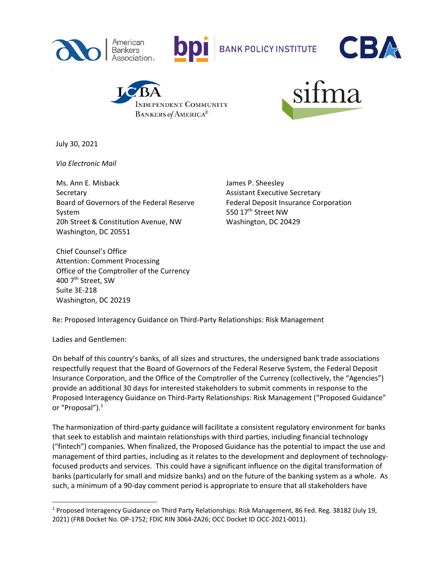



**BANK POLICY INSTITUTE** 







July 30, 2021

 *Via Electronic Mail* 

Ms. Ann E. Misback **Secretary** Board of Governors of the Federal Reserve System 20h Street & Constitution Avenue, NW Washington, DC 20551

James P. Sheesley Assistant Executive Secretary Federal Deposit Insurance Corporation 550 17<sup>th</sup> Street NW Washington, DC 20429

Chief Counsel's Office Attention: Comment Processing Office of the Comptroller of the Currency 400 7<sup>th</sup> Street, SW Suite 3E-218 Washington, DC 20219

Re: Proposed Interagency Guidance on Third-Party Relationships: Risk Management

Ladies and Gentlemen:

On behalf of this country's banks, of all sizes and structures, the undersigned bank trade associations respectfully request that the Board of Governors of the Federal Reserve System, the Federal Deposit Insurance Corporation, and the Office of the Comptroller of the Currency (collectively, the "Agencies") provide an additional 30 days for interested stakeholders to submit comments in response to the Proposed Interagency Guidance on Third-Party Relationships: Risk Management ("Proposed Guidance" or "Proposal").<sup>1</sup>

The harmonization of third-party guidance will facilitate a consistent regulatory environment for banks that seek to establish and maintain relationships with third parties, including financial technology ("fintech") companies. When finalized, the Proposed Guidance has the potential to impact the use and management of third parties, including as it relates to the development and deployment of technologyfocused products and services. This could have a significant influence on the digital transformation of banks (particularly for small and midsize banks) and on the future of the banking system as a whole. As such, a minimum of a 90-day comment period is appropriate to ensure that all stakeholders have

<sup>1</sup> Proposed Interagency Guidance on Third Party Relationships: Risk Management, 86 Fed. Reg. 38182 (July 19, 2021) (FRB Docket No. OP-1752; FDIC RIN 3064-ZA26; OCC Docket ID OCC-2021-0011).